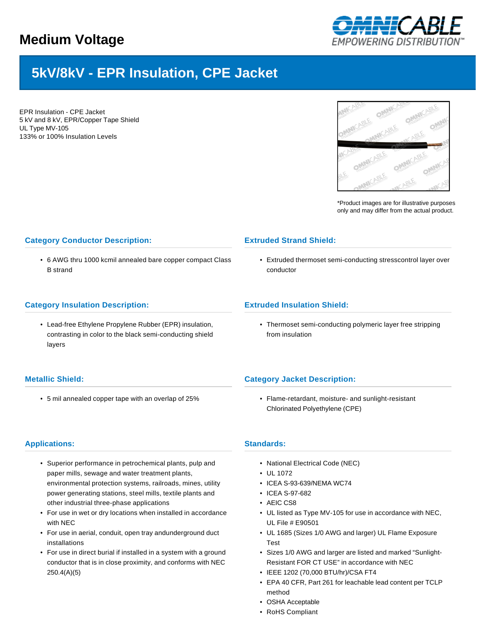

# **5kV/8kV - EPR Insulation, CPE Jacket**

EPR Insulation - CPE Jacket 5 kV and 8 kV, EPR/Copper Tape Shield UL Type MV-105 133% or 100% Insulation Levels



\*Product images are for illustrative purposes only and may differ from the actual product.

## **Category Conductor Description:**

• 6 AWG thru 1000 kcmil annealed bare copper compact Class B strand

### **Category Insulation Description:**

• Lead-free Ethylene Propylene Rubber (EPR) insulation, contrasting in color to the black semi-conducting shield layers

## **Metallic Shield:**

• 5 mil annealed copper tape with an overlap of 25%

## **Extruded Strand Shield:**

• Extruded thermoset semi-conducting stresscontrol layer over conductor

## **Extruded Insulation Shield:**

• Thermoset semi-conducting polymeric layer free stripping from insulation

## **Category Jacket Description:**

• Flame-retardant, moisture- and sunlight-resistant Chlorinated Polyethylene (CPE)

## **Applications:**

- Superior performance in petrochemical plants, pulp and paper mills, sewage and water treatment plants, environmental protection systems, railroads, mines, utility power generating stations, steel mills, textile plants and other industrial three-phase applications
- For use in wet or dry locations when installed in accordance with NEC
- For use in aerial, conduit, open tray andunderground duct installations
- For use in direct burial if installed in a system with a ground conductor that is in close proximity, and conforms with NEC 250.4(A)(5)

#### **Standards:**

- National Electrical Code (NEC)
- UL 1072
- ICEA S-93-639/NEMA WC74
- ICEA S-97-682
- AEIC CS8
- UL listed as Type MV-105 for use in accordance with NEC, UL File # E90501
- UL 1685 (Sizes 1/0 AWG and larger) UL Flame Exposure Test
- Sizes 1/0 AWG and larger are listed and marked "Sunlight-Resistant FOR CT USE" in accordance with NEC
- IEEE 1202 (70,000 BTU/hr)/CSA FT4
- EPA 40 CFR, Part 261 for leachable lead content per TCLP method
- OSHA Acceptable
- RoHS Compliant